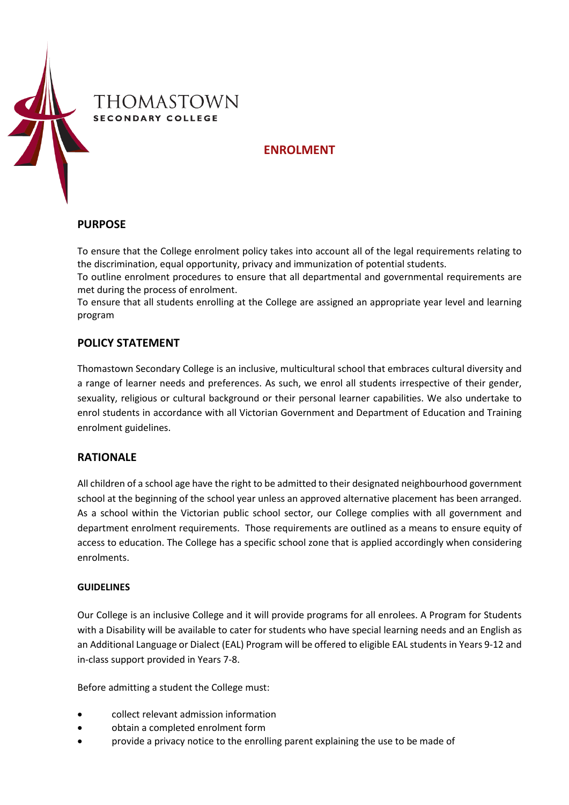

# **ENROLMENT**

#### **PURPOSE**

To ensure that the College enrolment policy takes into account all of the legal requirements relating to the discrimination, equal opportunity, privacy and immunization of potential students.

To outline enrolment procedures to ensure that all departmental and governmental requirements are met during the process of enrolment.

To ensure that all students enrolling at the College are assigned an appropriate year level and learning program

#### **POLICY STATEMENT**

Thomastown Secondary College is an inclusive, multicultural school that embraces cultural diversity and a range of learner needs and preferences. As such, we enrol all students irrespective of their gender, sexuality, religious or cultural background or their personal learner capabilities. We also undertake to enrol students in accordance with all Victorian Government and Department of Education and Training enrolment guidelines.

## **RATIONALE**

All children of a school age have the right to be admitted to their designated neighbourhood government school at the beginning of the school year unless an approved alternative placement has been arranged. As a school within the Victorian public school sector, our College complies with all government and department enrolment requirements. Those requirements are outlined as a means to ensure equity of access to education. The College has a specific school zone that is applied accordingly when considering enrolments.

#### **GUIDELINES**

Our College is an inclusive College and it will provide programs for all enrolees. A Program for Students with a Disability will be available to cater for students who have special learning needs and an English as an Additional Language or Dialect (EAL) Program will be offered to eligible EAL students in Years 9-12 and in-class support provided in Years 7-8.

Before admitting a student the College must:

- collect relevant admission information
- obtain a completed enrolment form
- provide a privacy notice to the enrolling parent explaining the use to be made of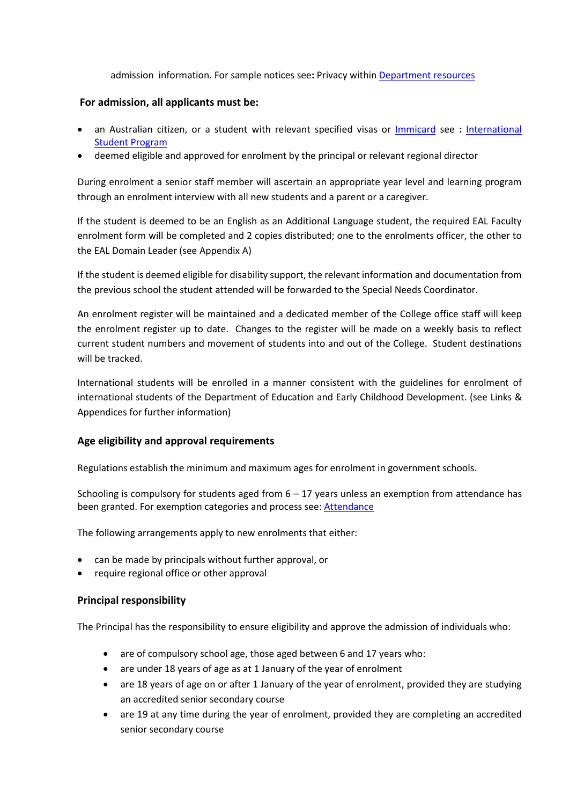admission information. For sample notices see**:** Privacy withi[n Department resources](http://www.education.vic.gov.au/school/principals/spag/participation/Pages/admission.aspx#2)

#### **For admission, all applicants must be:**

- an Australian citizen, or a student with relevant specified visas or [Immicard](https://www.border.gov.au/Trav/Refu/Immi) see **:** [International](http://www.education.vic.gov.au/school/principals/spag/curriculum/pages/program.aspx)  [Student Program](http://www.education.vic.gov.au/school/principals/spag/curriculum/pages/program.aspx)
- deemed eligible and approved for enrolment by the principal or relevant regional director

During enrolment a senior staff member will ascertain an appropriate year level and learning program through an enrolment interview with all new students and a parent or a caregiver.

If the student is deemed to be an English as an Additional Language student, the required EAL Faculty enrolment form will be completed and 2 copies distributed; one to the enrolments officer, the other to the EAL Domain Leader (see Appendix A)

If the student is deemed eligible for disability support, the relevant information and documentation from the previous school the student attended will be forwarded to the Special Needs Coordinator.

An enrolment register will be maintained and a dedicated member of the College office staff will keep the enrolment register up to date. Changes to the register will be made on a weekly basis to reflect current student numbers and movement of students into and out of the College. Student destinations will be tracked.

International students will be enrolled in a manner consistent with the guidelines for enrolment of international students of the Department of Education and Early Childhood Development. (see Links & Appendices for further information)

## **Age eligibility and approval requirements**

Regulations establish the minimum and maximum ages for enrolment in government schools.

Schooling is compulsory for students aged from 6 – 17 years unless an exemption from attendance has been granted. For exemption categories and process see: [Attendance](http://www.education.vic.gov.au/school/principals/spag/participation/Pages/attendance.aspx)

The following arrangements apply to new enrolments that either:

- can be made by principals without further approval, or
- require regional office or other approval

## **Principal responsibility**

The Principal has the responsibility to ensure eligibility and approve the admission of individuals who:

- are of compulsory school age, those aged between 6 and 17 years who:
- are under 18 years of age as at 1 January of the year of enrolment
- are 18 years of age on or after 1 January of the year of enrolment, provided they are studying an accredited senior secondary course
- are 19 at any time during the year of enrolment, provided they are completing an accredited senior secondary course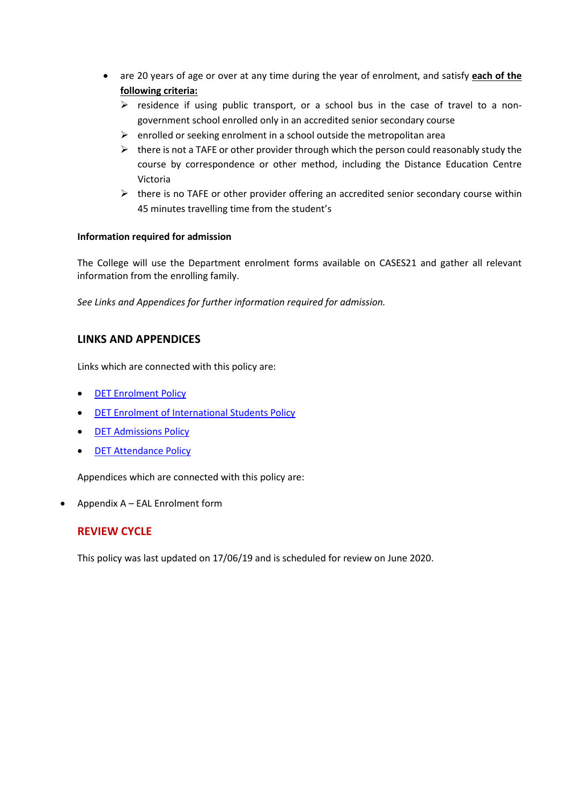- are 20 years of age or over at any time during the year of enrolment, and satisfy **each of the following criteria:** 
	- $\triangleright$  residence if using public transport, or a school bus in the case of travel to a nongovernment school enrolled only in an accredited senior secondary course
	- $\triangleright$  enrolled or seeking enrolment in a school outside the metropolitan area
	- $\triangleright$  there is not a TAFE or other provider through which the person could reasonably study the course by correspondence or other method, including the Distance Education Centre Victoria
	- $\triangleright$  there is no TAFE or other provider offering an accredited senior secondary course within 45 minutes travelling time from the student's

## **Information required for admission**

The College will use the Department enrolment forms available on CASES21 and gather all relevant information from the enrolling family.

*See Links and Appendices for further information required for admission.*

# **LINKS AND APPENDICES**

Links which are connected with this policy are:

- [DET Enrolment Policy](http://www.education.vic.gov.au/school/principals/participation/Pages/enrolment.aspx)
- [DET Enrolment of International Students Policy](http://www.education.vic.gov.au/school/parents/primary/Pages/international.aspx)
- [DET Admissions Policy](http://www.education.vic.gov.au/school/principals/spag/participation/Pages/admission.aspx)
- [DET Attendance](http://www.education.vic.gov.au/school/principals/spag/participation/Pages/attendance.aspx) Policy

Appendices which are connected with this policy are:

• Appendix A – EAL Enrolment form

# **REVIEW CYCLE**

This policy was last updated on 17/06/19 and is scheduled for review on June 2020.